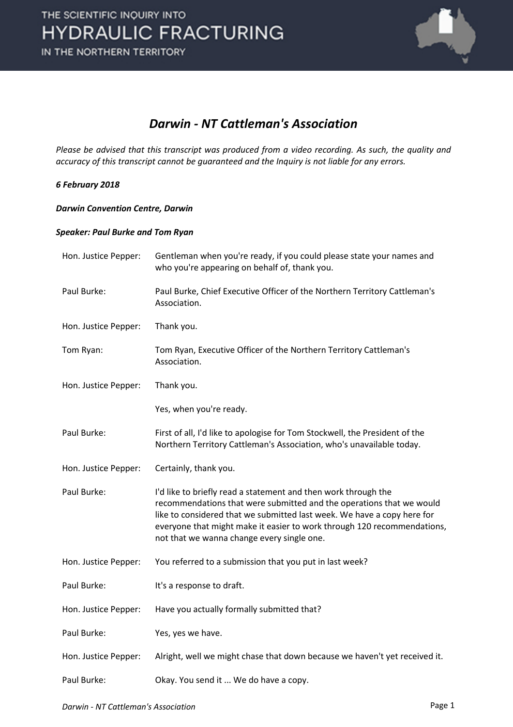

### *Darwin - NT Cattleman's Association*

*Please be advised that this transcript was produced from a video recording. As such, the quality and accuracy of this transcript cannot be guaranteed and the Inquiry is not liable for any errors.*

### *6 February 2018*

#### *Darwin Convention Centre, Darwin*

#### *Speaker: Paul Burke and Tom Ryan*

| Hon. Justice Pepper: | Gentleman when you're ready, if you could please state your names and<br>who you're appearing on behalf of, thank you.                                                                                                                                                                                                                     |
|----------------------|--------------------------------------------------------------------------------------------------------------------------------------------------------------------------------------------------------------------------------------------------------------------------------------------------------------------------------------------|
| Paul Burke:          | Paul Burke, Chief Executive Officer of the Northern Territory Cattleman's<br>Association.                                                                                                                                                                                                                                                  |
| Hon. Justice Pepper: | Thank you.                                                                                                                                                                                                                                                                                                                                 |
| Tom Ryan:            | Tom Ryan, Executive Officer of the Northern Territory Cattleman's<br>Association.                                                                                                                                                                                                                                                          |
| Hon. Justice Pepper: | Thank you.                                                                                                                                                                                                                                                                                                                                 |
|                      | Yes, when you're ready.                                                                                                                                                                                                                                                                                                                    |
| Paul Burke:          | First of all, I'd like to apologise for Tom Stockwell, the President of the<br>Northern Territory Cattleman's Association, who's unavailable today.                                                                                                                                                                                        |
| Hon. Justice Pepper: | Certainly, thank you.                                                                                                                                                                                                                                                                                                                      |
| Paul Burke:          | I'd like to briefly read a statement and then work through the<br>recommendations that were submitted and the operations that we would<br>like to considered that we submitted last week. We have a copy here for<br>everyone that might make it easier to work through 120 recommendations,<br>not that we wanna change every single one. |
| Hon. Justice Pepper: | You referred to a submission that you put in last week?                                                                                                                                                                                                                                                                                    |
| Paul Burke:          | It's a response to draft.                                                                                                                                                                                                                                                                                                                  |
| Hon. Justice Pepper: | Have you actually formally submitted that?                                                                                                                                                                                                                                                                                                 |
| Paul Burke:          | Yes, yes we have.                                                                                                                                                                                                                                                                                                                          |
| Hon. Justice Pepper: | Alright, well we might chase that down because we haven't yet received it.                                                                                                                                                                                                                                                                 |
| Paul Burke:          | Okay. You send it  We do have a copy.                                                                                                                                                                                                                                                                                                      |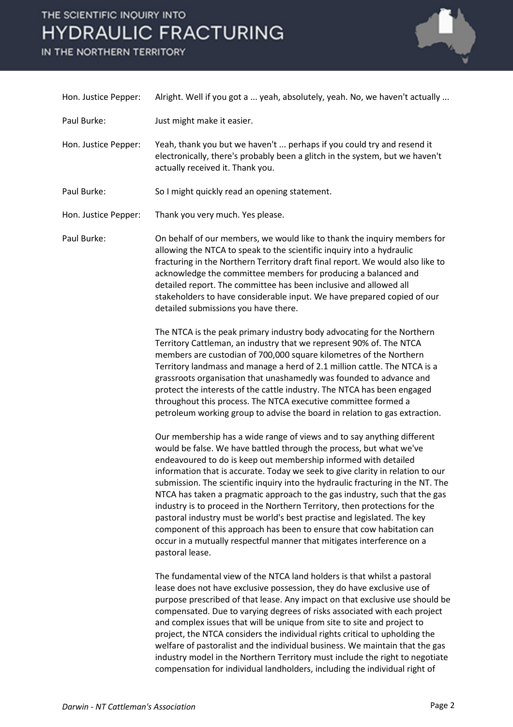IN THE NORTHERN TERRITORY



| Hon. Justice Pepper: | Alright. Well if you got a  yeah, absolutely, yeah. No, we haven't actually                                                                                                                                                                                                                                                                                                                                                                                                                                                                                                                                                                                                                                                                                                                        |
|----------------------|----------------------------------------------------------------------------------------------------------------------------------------------------------------------------------------------------------------------------------------------------------------------------------------------------------------------------------------------------------------------------------------------------------------------------------------------------------------------------------------------------------------------------------------------------------------------------------------------------------------------------------------------------------------------------------------------------------------------------------------------------------------------------------------------------|
| Paul Burke:          | Just might make it easier.                                                                                                                                                                                                                                                                                                                                                                                                                                                                                                                                                                                                                                                                                                                                                                         |
| Hon. Justice Pepper: | Yeah, thank you but we haven't  perhaps if you could try and resend it<br>electronically, there's probably been a glitch in the system, but we haven't<br>actually received it. Thank you.                                                                                                                                                                                                                                                                                                                                                                                                                                                                                                                                                                                                         |
| Paul Burke:          | So I might quickly read an opening statement.                                                                                                                                                                                                                                                                                                                                                                                                                                                                                                                                                                                                                                                                                                                                                      |
| Hon. Justice Pepper: | Thank you very much. Yes please.                                                                                                                                                                                                                                                                                                                                                                                                                                                                                                                                                                                                                                                                                                                                                                   |
| Paul Burke:          | On behalf of our members, we would like to thank the inquiry members for<br>allowing the NTCA to speak to the scientific inquiry into a hydraulic<br>fracturing in the Northern Territory draft final report. We would also like to<br>acknowledge the committee members for producing a balanced and<br>detailed report. The committee has been inclusive and allowed all<br>stakeholders to have considerable input. We have prepared copied of our<br>detailed submissions you have there.                                                                                                                                                                                                                                                                                                      |
|                      | The NTCA is the peak primary industry body advocating for the Northern<br>Territory Cattleman, an industry that we represent 90% of. The NTCA<br>members are custodian of 700,000 square kilometres of the Northern<br>Territory landmass and manage a herd of 2.1 million cattle. The NTCA is a<br>grassroots organisation that unashamedly was founded to advance and<br>protect the interests of the cattle industry. The NTCA has been engaged<br>throughout this process. The NTCA executive committee formed a<br>petroleum working group to advise the board in relation to gas extraction.                                                                                                                                                                                                 |
|                      | Our membership has a wide range of views and to say anything different<br>would be false. We have battled through the process, but what we've<br>endeavoured to do is keep out membership informed with detailed<br>information that is accurate. Today we seek to give clarity in relation to our<br>submission. The scientific inquiry into the hydraulic fracturing in the NT. The<br>NTCA has taken a pragmatic approach to the gas industry, such that the gas<br>industry is to proceed in the Northern Territory, then protections for the<br>pastoral industry must be world's best practise and legislated. The key<br>component of this approach has been to ensure that cow habitation can<br>occur in a mutually respectful manner that mitigates interference on a<br>pastoral lease. |
|                      | The fundamental view of the NTCA land holders is that whilst a pastoral<br>lease does not have exclusive possession, they do have exclusive use of<br>purpose prescribed of that lease. Any impact on that exclusive use should be<br>compensated. Due to varying degrees of risks associated with each project<br>and complex issues that will be unique from site to site and project to<br>project, the NTCA considers the individual rights critical to upholding the<br>welfare of pastoralist and the individual business. We maintain that the gas<br>industry model in the Northern Territory must include the right to negotiate<br>compensation for individual landholders, including the individual right of                                                                            |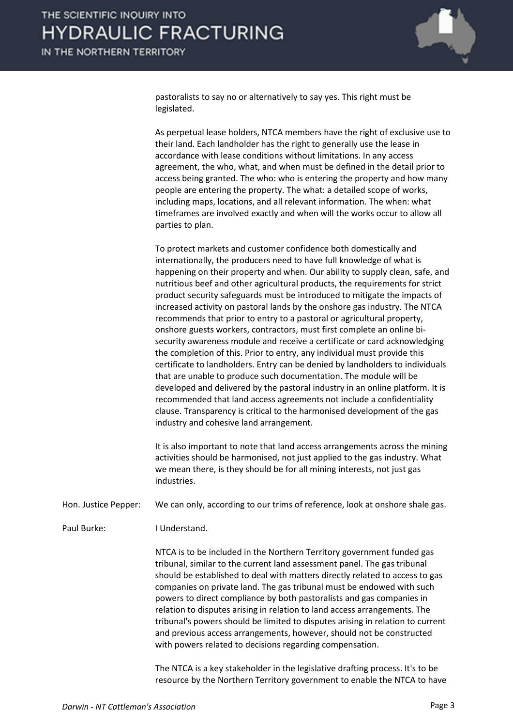

pastoralists to say no or alternatively to say yes. This right must be legislated.

As perpetual lease holders, NTCA members have the right of exclusive use to their land. Each landholder has the right to generally use the lease in accordance with lease conditions without limitations. In any access agreement, the who, what, and when must be defined in the detail prior to access being granted. The who: who is entering the property and how many people are entering the property. The what: a detailed scope of works, including maps, locations, and all relevant information. The when: what timeframes are involved exactly and when will the works occur to allow all parties to plan.

To protect markets and customer confidence both domestically and internationally, the producers need to have full knowledge of what is happening on their property and when. Our ability to supply clean, safe, and nutritious beef and other agricultural products, the requirements for strict product security safeguards must be introduced to mitigate the impacts of increased activity on pastoral lands by the onshore gas industry. The NTCA recommends that prior to entry to a pastoral or agricultural property, onshore guests workers, contractors, must first complete an online bisecurity awareness module and receive a certificate or card acknowledging the completion of this. Prior to entry, any individual must provide this certificate to landholders. Entry can be denied by landholders to individuals that are unable to produce such documentation. The module will be developed and delivered by the pastoral industry in an online platform. It is recommended that land access agreements not include a confidentiality clause. Transparency is critical to the harmonised development of the gas industry and cohesive land arrangement.

It is also important to note that land access arrangements across the mining activities should be harmonised, not just applied to the gas industry. What we mean there, is they should be for all mining interests, not just gas industries.

Hon. Justice Pepper: We can only, according to our trims of reference, look at onshore shale gas.

Paul Burke: I Understand.

NTCA is to be included in the Northern Territory government funded gas tribunal, similar to the current land assessment panel. The gas tribunal should be established to deal with matters directly related to access to gas companies on private land. The gas tribunal must be endowed with such powers to direct compliance by both pastoralists and gas companies in relation to disputes arising in relation to land access arrangements. The tribunal's powers should be limited to disputes arising in relation to current and previous access arrangements, however, should not be constructed with powers related to decisions regarding compensation.

The NTCA is a key stakeholder in the legislative drafting process. It's to be resource by the Northern Territory government to enable the NTCA to have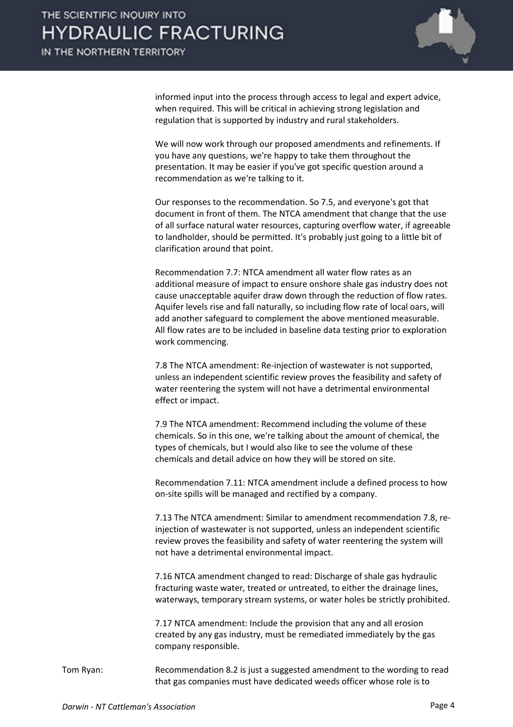

informed input into the process through access to legal and expert advice, when required. This will be critical in achieving strong legislation and regulation that is supported by industry and rural stakeholders.

We will now work through our proposed amendments and refinements. If you have any questions, we're happy to take them throughout the presentation. It may be easier if you've got specific question around a recommendation as we're talking to it.

Our responses to the recommendation. So 7.5, and everyone's got that document in front of them. The NTCA amendment that change that the use of all surface natural water resources, capturing overflow water, if agreeable to landholder, should be permitted. It's probably just going to a little bit of clarification around that point.

Recommendation 7.7: NTCA amendment all water flow rates as an additional measure of impact to ensure onshore shale gas industry does not cause unacceptable aquifer draw down through the reduction of flow rates. Aquifer levels rise and fall naturally, so including flow rate of local oars, will add another safeguard to complement the above mentioned measurable. All flow rates are to be included in baseline data testing prior to exploration work commencing.

7.8 The NTCA amendment: Re-injection of wastewater is not supported, unless an independent scientific review proves the feasibility and safety of water reentering the system will not have a detrimental environmental effect or impact.

7.9 The NTCA amendment: Recommend including the volume of these chemicals. So in this one, we're talking about the amount of chemical, the types of chemicals, but I would also like to see the volume of these chemicals and detail advice on how they will be stored on site.

Recommendation 7.11: NTCA amendment include a defined process to how on-site spills will be managed and rectified by a company.

7.13 The NTCA amendment: Similar to amendment recommendation 7.8, reinjection of wastewater is not supported, unless an independent scientific review proves the feasibility and safety of water reentering the system will not have a detrimental environmental impact.

7.16 NTCA amendment changed to read: Discharge of shale gas hydraulic fracturing waste water, treated or untreated, to either the drainage lines, waterways, temporary stream systems, or water holes be strictly prohibited.

7.17 NTCA amendment: Include the provision that any and all erosion created by any gas industry, must be remediated immediately by the gas company responsible.

Tom Ryan: Recommendation 8.2 is just a suggested amendment to the wording to read that gas companies must have dedicated weeds officer whose role is to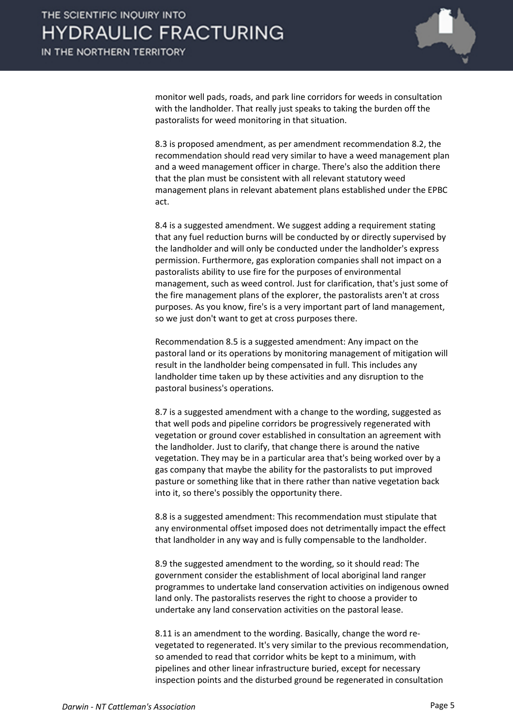

monitor well pads, roads, and park line corridors for weeds in consultation with the landholder. That really just speaks to taking the burden off the pastoralists for weed monitoring in that situation.

8.3 is proposed amendment, as per amendment recommendation 8.2, the recommendation should read very similar to have a weed management plan and a weed management officer in charge. There's also the addition there that the plan must be consistent with all relevant statutory weed management plans in relevant abatement plans established under the EPBC act.

8.4 is a suggested amendment. We suggest adding a requirement stating that any fuel reduction burns will be conducted by or directly supervised by the landholder and will only be conducted under the landholder's express permission. Furthermore, gas exploration companies shall not impact on a pastoralists ability to use fire for the purposes of environmental management, such as weed control. Just for clarification, that's just some of the fire management plans of the explorer, the pastoralists aren't at cross purposes. As you know, fire's is a very important part of land management, so we just don't want to get at cross purposes there.

Recommendation 8.5 is a suggested amendment: Any impact on the pastoral land or its operations by monitoring management of mitigation will result in the landholder being compensated in full. This includes any landholder time taken up by these activities and any disruption to the pastoral business's operations.

8.7 is a suggested amendment with a change to the wording, suggested as that well pods and pipeline corridors be progressively regenerated with vegetation or ground cover established in consultation an agreement with the landholder. Just to clarify, that change there is around the native vegetation. They may be in a particular area that's being worked over by a gas company that maybe the ability for the pastoralists to put improved pasture or something like that in there rather than native vegetation back into it, so there's possibly the opportunity there.

8.8 is a suggested amendment: This recommendation must stipulate that any environmental offset imposed does not detrimentally impact the effect that landholder in any way and is fully compensable to the landholder.

8.9 the suggested amendment to the wording, so it should read: The government consider the establishment of local aboriginal land ranger programmes to undertake land conservation activities on indigenous owned land only. The pastoralists reserves the right to choose a provider to undertake any land conservation activities on the pastoral lease.

8.11 is an amendment to the wording. Basically, change the word revegetated to regenerated. It's very similar to the previous recommendation, so amended to read that corridor whits be kept to a minimum, with pipelines and other linear infrastructure buried, except for necessary inspection points and the disturbed ground be regenerated in consultation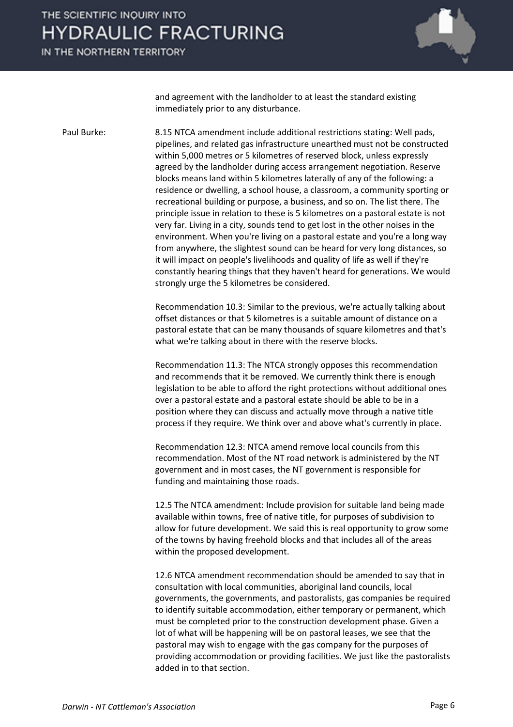IN THE NORTHERN TERRITORY



and agreement with the landholder to at least the standard existing immediately prior to any disturbance.

Paul Burke: 8.15 NTCA amendment include additional restrictions stating: Well pads, pipelines, and related gas infrastructure unearthed must not be constructed within 5,000 metres or 5 kilometres of reserved block, unless expressly agreed by the landholder during access arrangement negotiation. Reserve blocks means land within 5 kilometres laterally of any of the following: a residence or dwelling, a school house, a classroom, a community sporting or recreational building or purpose, a business, and so on. The list there. The principle issue in relation to these is 5 kilometres on a pastoral estate is not very far. Living in a city, sounds tend to get lost in the other noises in the environment. When you're living on a pastoral estate and you're a long way from anywhere, the slightest sound can be heard for very long distances, so it will impact on people's livelihoods and quality of life as well if they're constantly hearing things that they haven't heard for generations. We would strongly urge the 5 kilometres be considered.

> Recommendation 10.3: Similar to the previous, we're actually talking about offset distances or that 5 kilometres is a suitable amount of distance on a pastoral estate that can be many thousands of square kilometres and that's what we're talking about in there with the reserve blocks.

> Recommendation 11.3: The NTCA strongly opposes this recommendation and recommends that it be removed. We currently think there is enough legislation to be able to afford the right protections without additional ones over a pastoral estate and a pastoral estate should be able to be in a position where they can discuss and actually move through a native title process if they require. We think over and above what's currently in place.

Recommendation 12.3: NTCA amend remove local councils from this recommendation. Most of the NT road network is administered by the NT government and in most cases, the NT government is responsible for funding and maintaining those roads.

12.5 The NTCA amendment: Include provision for suitable land being made available within towns, free of native title, for purposes of subdivision to allow for future development. We said this is real opportunity to grow some of the towns by having freehold blocks and that includes all of the areas within the proposed development.

12.6 NTCA amendment recommendation should be amended to say that in consultation with local communities, aboriginal land councils, local governments, the governments, and pastoralists, gas companies be required to identify suitable accommodation, either temporary or permanent, which must be completed prior to the construction development phase. Given a lot of what will be happening will be on pastoral leases, we see that the pastoral may wish to engage with the gas company for the purposes of providing accommodation or providing facilities. We just like the pastoralists added in to that section.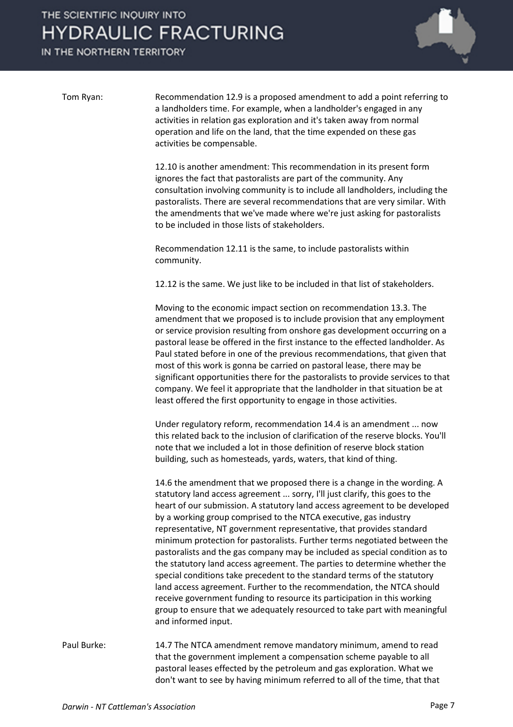IN THE NORTHERN TERRITORY



Tom Ryan: Recommendation 12.9 is a proposed amendment to add a point referring to a landholders time. For example, when a landholder's engaged in any activities in relation gas exploration and it's taken away from normal operation and life on the land, that the time expended on these gas activities be compensable.

> 12.10 is another amendment: This recommendation in its present form ignores the fact that pastoralists are part of the community. Any consultation involving community is to include all landholders, including the pastoralists. There are several recommendations that are very similar. With the amendments that we've made where we're just asking for pastoralists to be included in those lists of stakeholders.

Recommendation 12.11 is the same, to include pastoralists within community.

12.12 is the same. We just like to be included in that list of stakeholders.

Moving to the economic impact section on recommendation 13.3. The amendment that we proposed is to include provision that any employment or service provision resulting from onshore gas development occurring on a pastoral lease be offered in the first instance to the effected landholder. As Paul stated before in one of the previous recommendations, that given that most of this work is gonna be carried on pastoral lease, there may be significant opportunities there for the pastoralists to provide services to that company. We feel it appropriate that the landholder in that situation be at least offered the first opportunity to engage in those activities.

Under regulatory reform, recommendation 14.4 is an amendment ... now this related back to the inclusion of clarification of the reserve blocks. You'll note that we included a lot in those definition of reserve block station building, such as homesteads, yards, waters, that kind of thing.

14.6 the amendment that we proposed there is a change in the wording. A statutory land access agreement ... sorry, I'll just clarify, this goes to the heart of our submission. A statutory land access agreement to be developed by a working group comprised to the NTCA executive, gas industry representative, NT government representative, that provides standard minimum protection for pastoralists. Further terms negotiated between the pastoralists and the gas company may be included as special condition as to the statutory land access agreement. The parties to determine whether the special conditions take precedent to the standard terms of the statutory land access agreement. Further to the recommendation, the NTCA should receive government funding to resource its participation in this working group to ensure that we adequately resourced to take part with meaningful and informed input.

Paul Burke: 14.7 The NTCA amendment remove mandatory minimum, amend to read that the government implement a compensation scheme payable to all pastoral leases effected by the petroleum and gas exploration. What we don't want to see by having minimum referred to all of the time, that that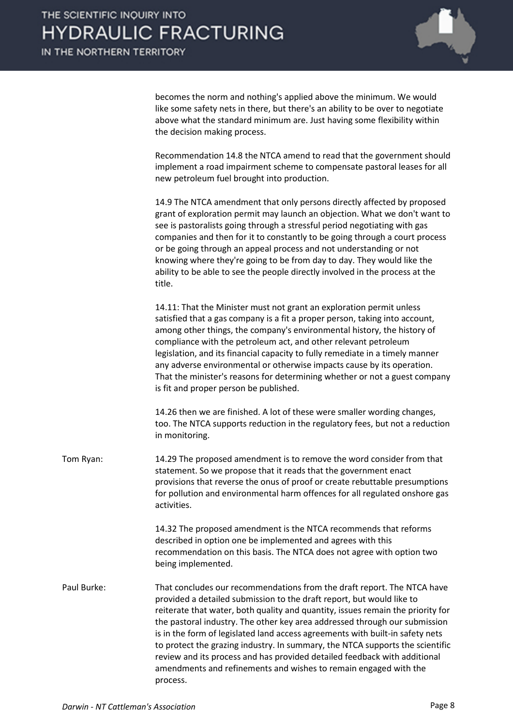

becomes the norm and nothing's applied above the minimum. We would like some safety nets in there, but there's an ability to be over to negotiate above what the standard minimum are. Just having some flexibility within the decision making process.

Recommendation 14.8 the NTCA amend to read that the government should implement a road impairment scheme to compensate pastoral leases for all new petroleum fuel brought into production.

14.9 The NTCA amendment that only persons directly affected by proposed grant of exploration permit may launch an objection. What we don't want to see is pastoralists going through a stressful period negotiating with gas companies and then for it to constantly to be going through a court process or be going through an appeal process and not understanding or not knowing where they're going to be from day to day. They would like the ability to be able to see the people directly involved in the process at the title.

14.11: That the Minister must not grant an exploration permit unless satisfied that a gas company is a fit a proper person, taking into account, among other things, the company's environmental history, the history of compliance with the petroleum act, and other relevant petroleum legislation, and its financial capacity to fully remediate in a timely manner any adverse environmental or otherwise impacts cause by its operation. That the minister's reasons for determining whether or not a guest company is fit and proper person be published.

14.26 then we are finished. A lot of these were smaller wording changes, too. The NTCA supports reduction in the regulatory fees, but not a reduction in monitoring.

Tom Ryan: 14.29 The proposed amendment is to remove the word consider from that statement. So we propose that it reads that the government enact provisions that reverse the onus of proof or create rebuttable presumptions for pollution and environmental harm offences for all regulated onshore gas activities.

> 14.32 The proposed amendment is the NTCA recommends that reforms described in option one be implemented and agrees with this recommendation on this basis. The NTCA does not agree with option two being implemented.

Paul Burke: That concludes our recommendations from the draft report. The NTCA have provided a detailed submission to the draft report, but would like to reiterate that water, both quality and quantity, issues remain the priority for the pastoral industry. The other key area addressed through our submission is in the form of legislated land access agreements with built-in safety nets to protect the grazing industry. In summary, the NTCA supports the scientific review and its process and has provided detailed feedback with additional amendments and refinements and wishes to remain engaged with the process.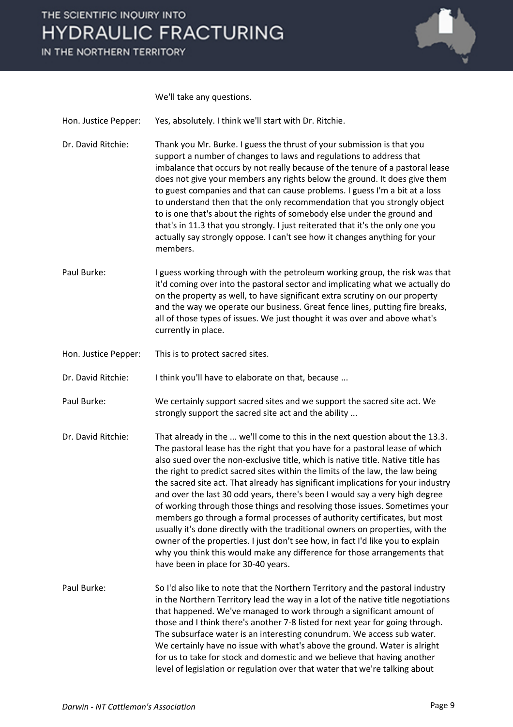IN THE NORTHERN TERRITORY



We'll take any questions.

Hon. Justice Pepper: Yes, absolutely. I think we'll start with Dr. Ritchie.

- Dr. David Ritchie: Thank you Mr. Burke. I guess the thrust of your submission is that you support a number of changes to laws and regulations to address that imbalance that occurs by not really because of the tenure of a pastoral lease does not give your members any rights below the ground. It does give them to guest companies and that can cause problems. I guess I'm a bit at a loss to understand then that the only recommendation that you strongly object to is one that's about the rights of somebody else under the ground and that's in 11.3 that you strongly. I just reiterated that it's the only one you actually say strongly oppose. I can't see how it changes anything for your members.
- Paul Burke: I guess working through with the petroleum working group, the risk was that it'd coming over into the pastoral sector and implicating what we actually do on the property as well, to have significant extra scrutiny on our property and the way we operate our business. Great fence lines, putting fire breaks, all of those types of issues. We just thought it was over and above what's currently in place.
- Hon. Justice Pepper: This is to protect sacred sites.

Dr. David Ritchie: I think you'll have to elaborate on that, because ...

- Paul Burke: We certainly support sacred sites and we support the sacred site act. We strongly support the sacred site act and the ability ...
- Dr. David Ritchie: That already in the ... we'll come to this in the next question about the 13.3. The pastoral lease has the right that you have for a pastoral lease of which also sued over the non-exclusive title, which is native title. Native title has the right to predict sacred sites within the limits of the law, the law being the sacred site act. That already has significant implications for your industry and over the last 30 odd years, there's been I would say a very high degree of working through those things and resolving those issues. Sometimes your members go through a formal processes of authority certificates, but most usually it's done directly with the traditional owners on properties, with the owner of the properties. I just don't see how, in fact I'd like you to explain why you think this would make any difference for those arrangements that have been in place for 30-40 years.
- Paul Burke: So I'd also like to note that the Northern Territory and the pastoral industry in the Northern Territory lead the way in a lot of the native title negotiations that happened. We've managed to work through a significant amount of those and I think there's another 7-8 listed for next year for going through. The subsurface water is an interesting conundrum. We access sub water. We certainly have no issue with what's above the ground. Water is alright for us to take for stock and domestic and we believe that having another level of legislation or regulation over that water that we're talking about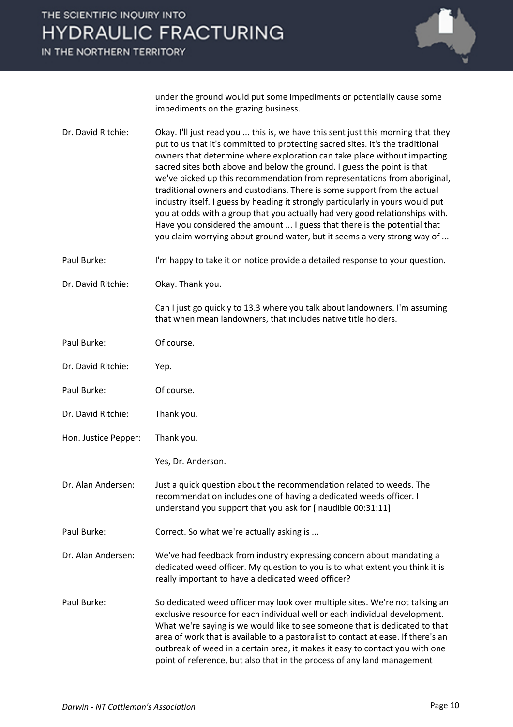IN THE NORTHERN TERRITORY



under the ground would put some impediments or potentially cause some impediments on the grazing business.

- Dr. David Ritchie: Okay. I'll just read you ... this is, we have this sent just this morning that they put to us that it's committed to protecting sacred sites. It's the traditional owners that determine where exploration can take place without impacting sacred sites both above and below the ground. I guess the point is that we've picked up this recommendation from representations from aboriginal, traditional owners and custodians. There is some support from the actual industry itself. I guess by heading it strongly particularly in yours would put you at odds with a group that you actually had very good relationships with. Have you considered the amount ... I guess that there is the potential that you claim worrying about ground water, but it seems a very strong way of ...
- Paul Burke: I'm happy to take it on notice provide a detailed response to your question.
- Dr. David Ritchie: Okay. Thank you.

Can I just go quickly to 13.3 where you talk about landowners. I'm assuming that when mean landowners, that includes native title holders.

- Paul Burke: Of course.
- Dr. David Ritchie: Yep.
- Paul Burke: Of course.
- Dr. David Ritchie: Thank you.
- Hon. Justice Pepper: Thank you.
	- Yes, Dr. Anderson.
- Dr. Alan Andersen: Just a quick question about the recommendation related to weeds. The recommendation includes one of having a dedicated weeds officer. I understand you support that you ask for [inaudible 00:31:11]
- Paul Burke: Correct. So what we're actually asking is ...
- Dr. Alan Andersen: We've had feedback from industry expressing concern about mandating a dedicated weed officer. My question to you is to what extent you think it is really important to have a dedicated weed officer?
- Paul Burke: So dedicated weed officer may look over multiple sites. We're not talking an exclusive resource for each individual well or each individual development. What we're saying is we would like to see someone that is dedicated to that area of work that is available to a pastoralist to contact at ease. If there's an outbreak of weed in a certain area, it makes it easy to contact you with one point of reference, but also that in the process of any land management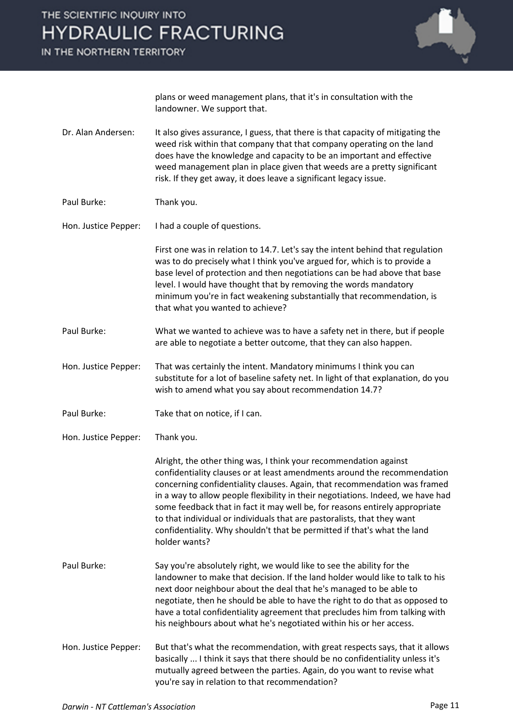IN THE NORTHERN TERRITORY



plans or weed management plans, that it's in consultation with the landowner. We support that.

- Dr. Alan Andersen: It also gives assurance, I guess, that there is that capacity of mitigating the weed risk within that company that that company operating on the land does have the knowledge and capacity to be an important and effective weed management plan in place given that weeds are a pretty significant risk. If they get away, it does leave a significant legacy issue.
- Paul Burke: Thank you.

Hon. Justice Pepper: I had a couple of questions.

First one was in relation to 14.7. Let's say the intent behind that regulation was to do precisely what I think you've argued for, which is to provide a base level of protection and then negotiations can be had above that base level. I would have thought that by removing the words mandatory minimum you're in fact weakening substantially that recommendation, is that what you wanted to achieve?

- Paul Burke: What we wanted to achieve was to have a safety net in there, but if people are able to negotiate a better outcome, that they can also happen.
- Hon. Justice Pepper: That was certainly the intent. Mandatory minimums I think you can substitute for a lot of baseline safety net. In light of that explanation, do you wish to amend what you say about recommendation 14.7?
- Paul Burke: Take that on notice, if I can.
- Hon. Justice Pepper: Thank you.

Alright, the other thing was, I think your recommendation against confidentiality clauses or at least amendments around the recommendation concerning confidentiality clauses. Again, that recommendation was framed in a way to allow people flexibility in their negotiations. Indeed, we have had some feedback that in fact it may well be, for reasons entirely appropriate to that individual or individuals that are pastoralists, that they want confidentiality. Why shouldn't that be permitted if that's what the land holder wants?

- Paul Burke: Say you're absolutely right, we would like to see the ability for the landowner to make that decision. If the land holder would like to talk to his next door neighbour about the deal that he's managed to be able to negotiate, then he should be able to have the right to do that as opposed to have a total confidentiality agreement that precludes him from talking with his neighbours about what he's negotiated within his or her access.
- Hon. Justice Pepper: But that's what the recommendation, with great respects says, that it allows basically ... I think it says that there should be no confidentiality unless it's mutually agreed between the parties. Again, do you want to revise what you're say in relation to that recommendation?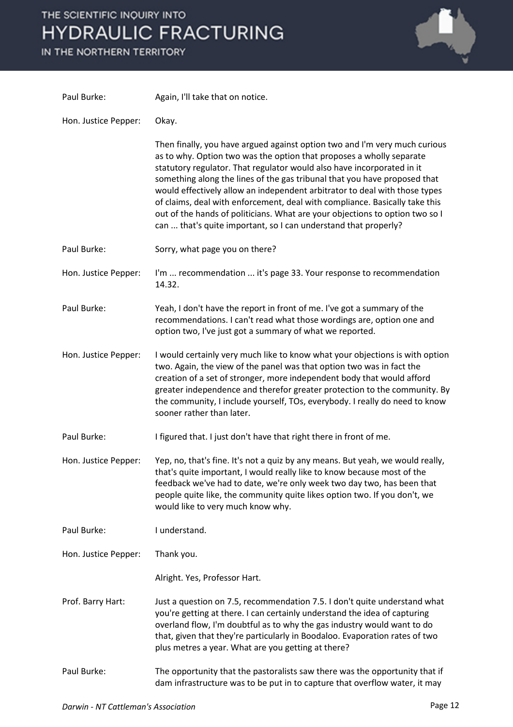# THE SCIENTIFIC INQUIRY INTO **HYD**

IN THE

| HE NORTHERN TERRITORY | YDRAULIC FRACTURING                                                                                                                                                                                                                                                                                                                                                                                                                                                                                                                                                                                                       |
|-----------------------|---------------------------------------------------------------------------------------------------------------------------------------------------------------------------------------------------------------------------------------------------------------------------------------------------------------------------------------------------------------------------------------------------------------------------------------------------------------------------------------------------------------------------------------------------------------------------------------------------------------------------|
| Paul Burke:           | Again, I'll take that on notice.                                                                                                                                                                                                                                                                                                                                                                                                                                                                                                                                                                                          |
| Hon. Justice Pepper:  | Okay.                                                                                                                                                                                                                                                                                                                                                                                                                                                                                                                                                                                                                     |
|                       | Then finally, you have argued against option two and I'm very much curious<br>as to why. Option two was the option that proposes a wholly separate<br>statutory regulator. That regulator would also have incorporated in it<br>something along the lines of the gas tribunal that you have proposed that<br>would effectively allow an independent arbitrator to deal with those types<br>of claims, deal with enforcement, deal with compliance. Basically take this<br>out of the hands of politicians. What are your objections to option two so I<br>can  that's quite important, so I can understand that properly? |
| Paul Burke:           | Sorry, what page you on there?                                                                                                                                                                                                                                                                                                                                                                                                                                                                                                                                                                                            |
| Hon. Justice Pepper:  | I'm  recommendation  it's page 33. Your response to recommendation<br>14.32.                                                                                                                                                                                                                                                                                                                                                                                                                                                                                                                                              |
| Paul Burke:           | Yeah, I don't have the report in front of me. I've got a summary of the<br>recommendations. I can't read what those wordings are, option one and<br>option two, I've just got a summary of what we reported.                                                                                                                                                                                                                                                                                                                                                                                                              |
| Hon. Justice Pepper:  | I would certainly very much like to know what your objections is with option<br>two. Again, the view of the panel was that option two was in fact the<br>creation of a set of stronger, more independent body that would afford<br>greater independence and therefor greater protection to the community. By<br>the community, I include yourself, TOs, everybody. I really do need to know<br>sooner rather than later.                                                                                                                                                                                                  |
| Paul Burke:           | I figured that. I just don't have that right there in front of me.                                                                                                                                                                                                                                                                                                                                                                                                                                                                                                                                                        |
| Hon. Justice Pepper:  | Yep, no, that's fine. It's not a quiz by any means. But yeah, we would really,<br>that's quite important, I would really like to know because most of the<br>feedback we've had to date, we're only week two day two, has been that<br>people quite like, the community quite likes option two. If you don't, we<br>would like to very much know why.                                                                                                                                                                                                                                                                     |
| Paul Burke:           | I understand.                                                                                                                                                                                                                                                                                                                                                                                                                                                                                                                                                                                                             |
| Hon. Justice Pepper:  | Thank you.                                                                                                                                                                                                                                                                                                                                                                                                                                                                                                                                                                                                                |
|                       | Alright. Yes, Professor Hart.                                                                                                                                                                                                                                                                                                                                                                                                                                                                                                                                                                                             |
| Prof. Barry Hart:     | Just a question on 7.5, recommendation 7.5. I don't quite understand what<br>you're getting at there. I can certainly understand the idea of capturing<br>overland flow, I'm doubtful as to why the gas industry would want to do<br>that, given that they're particularly in Boodaloo. Evaporation rates of two<br>plus metres a year. What are you getting at there?                                                                                                                                                                                                                                                    |
| Paul Burke:           | The opportunity that the pastoralists saw there was the opportunity that if<br>dam infrastructure was to be put in to capture that overflow water, it may                                                                                                                                                                                                                                                                                                                                                                                                                                                                 |

ď ٦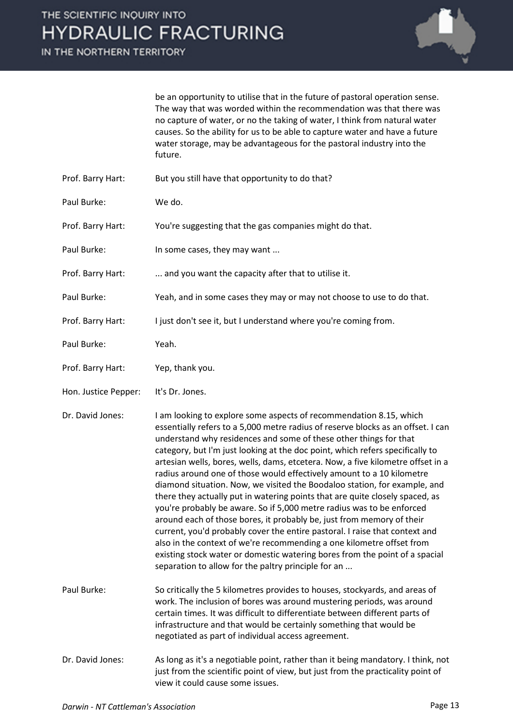IN THE NORTHERN TERRITORY



be an opportunity to utilise that in the future of pastoral operation sense. The way that was worded within the recommendation was that there was no capture of water, or no the taking of water, I think from natural water causes. So the ability for us to be able to capture water and have a future water storage, may be advantageous for the pastoral industry into the future.

- Prof. Barry Hart: But you still have that opportunity to do that?
- Paul Burke: We do.
- Prof. Barry Hart: You're suggesting that the gas companies might do that.
- Paul Burke: In some cases, they may want ...
- Prof. Barry Hart: ... and you want the capacity after that to utilise it.
- Paul Burke: Yeah, and in some cases they may or may not choose to use to do that.
- Prof. Barry Hart: I just don't see it, but I understand where you're coming from.
- Paul Burke: Yeah.
- Prof. Barry Hart: Yep, thank you.
- Hon. Justice Pepper: It's Dr. Jones.
- Dr. David Jones: I am looking to explore some aspects of recommendation 8.15, which essentially refers to a 5,000 metre radius of reserve blocks as an offset. I can understand why residences and some of these other things for that category, but I'm just looking at the doc point, which refers specifically to artesian wells, bores, wells, dams, etcetera. Now, a five kilometre offset in a radius around one of those would effectively amount to a 10 kilometre diamond situation. Now, we visited the Boodaloo station, for example, and there they actually put in watering points that are quite closely spaced, as you're probably be aware. So if 5,000 metre radius was to be enforced around each of those bores, it probably be, just from memory of their current, you'd probably cover the entire pastoral. I raise that context and also in the context of we're recommending a one kilometre offset from existing stock water or domestic watering bores from the point of a spacial separation to allow for the paltry principle for an ...
- Paul Burke: So critically the 5 kilometres provides to houses, stockyards, and areas of work. The inclusion of bores was around mustering periods, was around certain times. It was difficult to differentiate between different parts of infrastructure and that would be certainly something that would be negotiated as part of individual access agreement.
- Dr. David Jones: As long as it's a negotiable point, rather than it being mandatory. I think, not just from the scientific point of view, but just from the practicality point of view it could cause some issues.